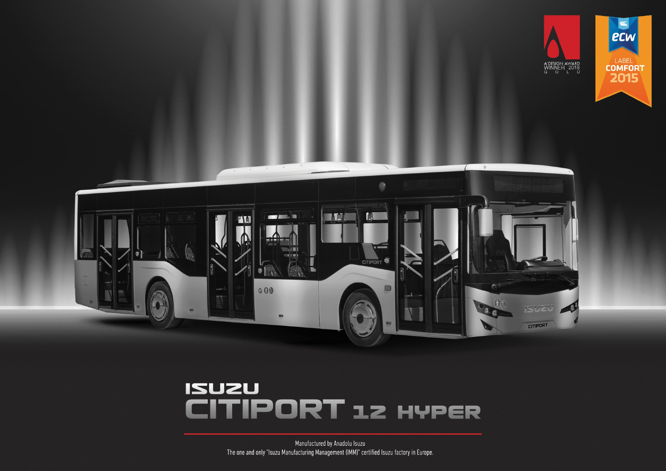



# **ISUZU ITIPORT 12 HYPER**

Manufactured by Anadolu Isuzu The one and only "Isuzu Manufacturing Management (IMM)" certified Isuzu factory in Europe.